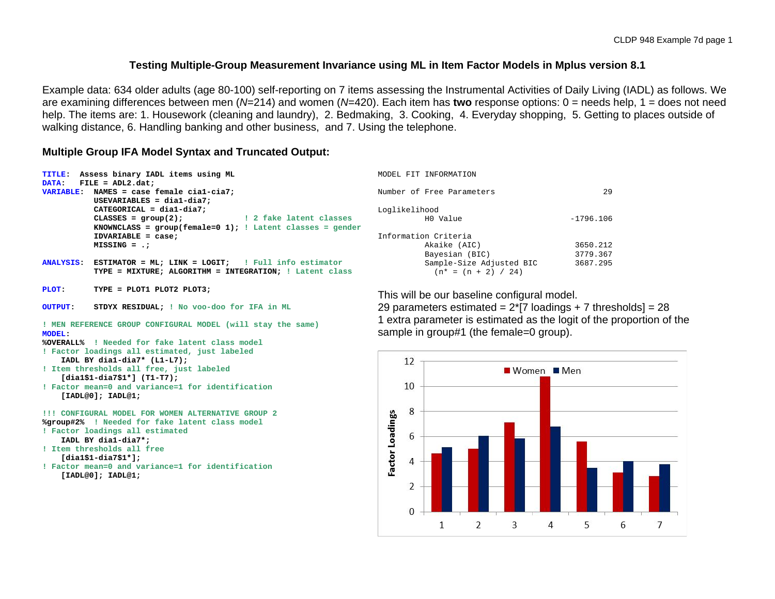### **Testing Multiple-Group Measurement Invariance using ML in Item Factor Models in Mplus version 8.1**

Example data: 634 older adults (age 80-100) self-reporting on 7 items assessing the Instrumental Activities of Daily Living (IADL) as follows. We are examining differences between men (*N*=214) and women (*N*=420). Each item has **two** response options: 0 = needs help, 1 = does not need help. The items are: 1. Housework (cleaning and laundry), 2. Bedmaking, 3. Cooking, 4. Everyday shopping, 5. Getting to places outside of walking distance, 6. Handling banking and other business, and 7. Using the telephone.

#### **Multiple Group IFA Model Syntax and Truncated Output:**

```
TITLE: Assess binary IADL items using ML
                                                                         MODEL FIT INFORMATION
DATA: FILE = ADL2.dat;
VARIABLE: NAMES = case female cia1-cia7;
            USEVARIABLES = dia1-dia7;
            CATEGORICAL = dia1-dia7;
                                                                          Loglikelihood
                                             CLASSES = group(2); ! 2 fake latent classes
            KNOWNCLASS = group(female=0 1); ! Latent classes = gender
            IDVARIABLE = case;
            MISSING = .;
ANALYSIS: ESTIMATOR = ML; LINK = LOGIT; ! Full info estimator
            TYPE = MIXTURE; ALGORITHM = INTEGRATION; ! Latent class
PLOT: TYPE = PLOT1 PLOT2 PLOT3;
OUTPUT: STDYX RESIDUAL; ! No voo-doo for IFA in ML 
! MEN REFERENCE GROUP CONFIGURAL MODEL (will stay the same)
MODEL: 
%OVERALL% ! Needed for fake latent class model
! Factor loadings all estimated, just labeled 
     IADL BY dia1-dia7* (L1-L7);
                                                                               12
! Item thresholds all free, just labeled
     [dia1$1-dia7$1*] (T1-T7);
                                                                               10
! Factor mean=0 and variance=1 for identification
     [IADL@0]; IADL@1;
                                                                                8
!!! CONFIGURAL MODEL FOR WOMEN ALTERNATIVE GROUP 2 
%group#2% ! Needed for fake latent class model
! Factor loadings all estimated 
                                                                                6
     IADL BY dia1-dia7*;
! Item thresholds all free
     [dia1$1-dia7$1*];
! Factor mean=0 and variance=1 for identification
```

```
 [IADL@0]; IADL@1;
```

| Number of Free Parameters                                                                                   | 29                               |
|-------------------------------------------------------------------------------------------------------------|----------------------------------|
| Loglikelihood<br>HO Value                                                                                   | $-1796.106$                      |
| Information Criteria<br>Akaike (AIC)<br>Bayesian (BIC)<br>Sample-Size Adjusted BIC<br>$(n* = (n + 2) / 24)$ | 3650.212<br>3779.367<br>3687.295 |

This will be our baseline configural model.

29 parameters estimated =  $2 \times 7$  loadings + 7 thresholds =  $28$ 1 extra parameter is estimated as the logit of the proportion of the sample in group#1 (the female=0 group).

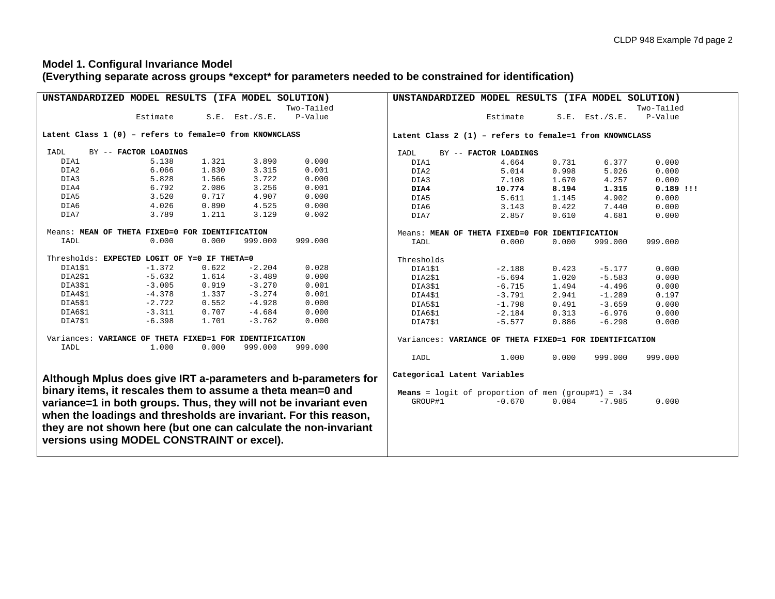## **Model 1. Configural Invariance Model (Everything separate across groups \*except\* for parameters needed to be constrained for identification)**

| UNSTANDARDIZED MODEL RESULTS (IFA MODEL SOLUTION)       |                                                                                                                                                                                    |       |                                                         | UNSTANDARDIZED MODEL RESULTS (IFA MODEL SOLUTION)                |                                                 |                                                             |       |           |             |  |
|---------------------------------------------------------|------------------------------------------------------------------------------------------------------------------------------------------------------------------------------------|-------|---------------------------------------------------------|------------------------------------------------------------------|-------------------------------------------------|-------------------------------------------------------------|-------|-----------|-------------|--|
|                                                         |                                                                                                                                                                                    |       |                                                         | Two-Tailed                                                       |                                                 |                                                             |       |           | Two-Tailed  |  |
|                                                         | Estimate                                                                                                                                                                           | S.E.  | Est./S.E.                                               | P-Value                                                          |                                                 | Estimate                                                    | S.E.  | Est./S.E. | P-Value     |  |
|                                                         | Latent Class 1 (0) - refers to female=0 from KNOWNCLASS                                                                                                                            |       |                                                         |                                                                  |                                                 | Latent Class 2 (1) - refers to female=1 from KNOWNCLASS     |       |           |             |  |
| IADL                                                    | BY -- FACTOR LOADINGS                                                                                                                                                              |       |                                                         |                                                                  | IADL                                            | BY -- FACTOR LOADINGS                                       |       |           |             |  |
| DIA1                                                    | 5.138                                                                                                                                                                              | 1.321 | 3.890                                                   | 0.000                                                            | DIA1                                            | 4.664                                                       | 0.731 | 6.377     | 0.000       |  |
| DIA2                                                    | 6.066                                                                                                                                                                              | 1.830 | 3.315                                                   | 0.001                                                            | DIA2                                            | 5.014                                                       | 0.998 | 5.026     | 0.000       |  |
| DIA3                                                    | 5.828                                                                                                                                                                              | 1.566 | 3.722                                                   | 0.000                                                            | DIA3                                            | 7.108                                                       | 1.670 | 4.257     | 0.000       |  |
| DIA4                                                    | 6.792                                                                                                                                                                              | 2.086 | 3.256                                                   | 0.001                                                            | DIA4                                            | 10.774                                                      | 8.194 | 1.315     | $0.189$ !!! |  |
| DIA5                                                    | 3.520                                                                                                                                                                              | 0.717 | 4.907                                                   | 0.000                                                            | DIA5                                            | 5.611                                                       | 1.145 | 4.902     | 0.000       |  |
| DIA6                                                    | 4.026                                                                                                                                                                              | 0.890 | 4.525                                                   | 0.000                                                            | DIA6                                            | 3.143                                                       | 0.422 | 7.440     | 0.000       |  |
| DIA7                                                    | 3.789                                                                                                                                                                              | 1.211 | 3.129                                                   | 0.002                                                            | DIA7                                            | 2.857                                                       | 0.610 | 4.681     | 0.000       |  |
|                                                         | Means: MEAN OF THETA FIXED=0 FOR IDENTIFICATION                                                                                                                                    |       |                                                         |                                                                  | Means: MEAN OF THETA FIXED=0 FOR IDENTIFICATION |                                                             |       |           |             |  |
| IADL                                                    | 0.000                                                                                                                                                                              | 0.000 | 999.000                                                 | 999.000                                                          | IADL                                            | 0.000                                                       | 0.000 | 999.000   | 999.000     |  |
|                                                         | Thresholds: EXPECTED LOGIT OF Y=0 IF THETA=0                                                                                                                                       |       |                                                         |                                                                  | Thresholds                                      |                                                             |       |           |             |  |
| DIA1\$1                                                 | $-1.372$                                                                                                                                                                           | 0.622 | $-2.204$                                                | 0.028                                                            | DIA1\$1                                         | $-2.188$                                                    | 0.423 | $-5.177$  | 0.000       |  |
| DIA2\$1                                                 | $-5.632$                                                                                                                                                                           | 1.614 | $-3.489$                                                | 0.000                                                            | DIA2\$1                                         | $-5.694$                                                    | 1.020 | $-5.583$  | 0.000       |  |
| DIA3\$1                                                 | $-3.005$                                                                                                                                                                           | 0.919 | $-3.270$                                                | 0.001                                                            | DIA3\$1                                         | $-6.715$                                                    | 1.494 | $-4.496$  | 0.000       |  |
| DIA4\$1                                                 | $-4.378$                                                                                                                                                                           | 1.337 | $-3.274$                                                | 0.001                                                            | DIA4\$1                                         | $-3.791$                                                    | 2.941 | $-1.289$  | 0.197       |  |
| DIA5\$1                                                 | $-2.722$                                                                                                                                                                           | 0.552 | $-4.928$                                                | 0.000                                                            | DIA5\$1                                         | $-1.798$                                                    | 0.491 | $-3.659$  | 0.000       |  |
| DIA6\$1                                                 | $-3.311$                                                                                                                                                                           | 0.707 | $-4.684$                                                | 0.000                                                            | DIA6\$1                                         | $-2.184$                                                    | 0.313 | $-6.976$  | 0.000       |  |
| DIA7\$1                                                 | $-6.398$                                                                                                                                                                           | 1.701 | $-3.762$                                                | 0.000                                                            | DIA7\$1                                         | $-5.577$                                                    | 0.886 | $-6.298$  | 0.000       |  |
| Variances: VARIANCE OF THETA FIXED=1 FOR IDENTIFICATION |                                                                                                                                                                                    |       | Variances: VARIANCE OF THETA FIXED=1 FOR IDENTIFICATION |                                                                  |                                                 |                                                             |       |           |             |  |
| IADL                                                    | 1.000                                                                                                                                                                              | 0.000 | 999.000                                                 | 999.000                                                          | IADL                                            | 1.000                                                       | 0.000 | 999.000   | 999.000     |  |
|                                                         | binary items, it rescales them to assume a theta mean=0 and                                                                                                                        |       |                                                         | Although Mplus does give IRT a-parameters and b-parameters for   | Categorical Latent Variables                    | <b>Means</b> = logit of proportion of men (group#1) = $.34$ |       |           |             |  |
|                                                         | variance=1 in both groups. Thus, they will not be invariant even<br>when the loadings and thresholds are invariant. For this reason,<br>versions using MODEL CONSTRAINT or excel). |       |                                                         | they are not shown here (but one can calculate the non-invariant | GROUP#1                                         | $-0.670$                                                    | 0.084 | $-7.985$  | 0.000       |  |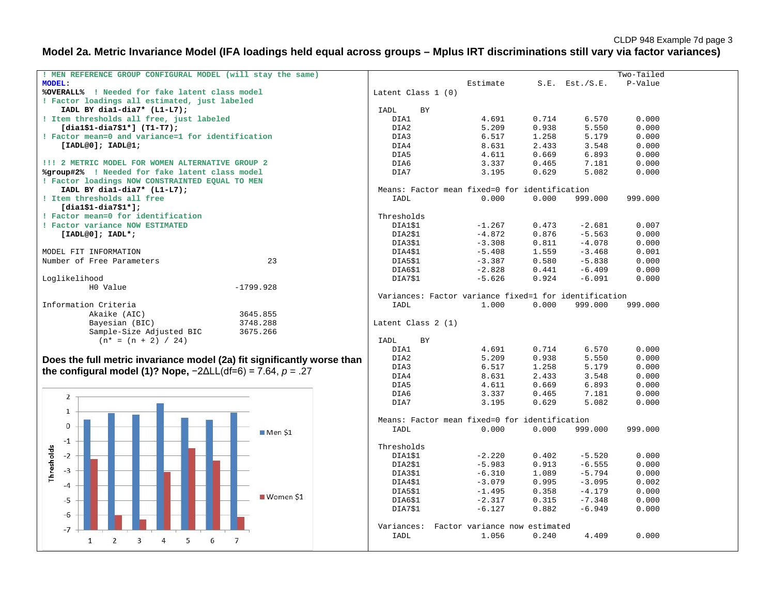# **Model 2a. Metric Invariance Model (IFA loadings held equal across groups – Mplus IRT discriminations still vary via factor variances)**

| ! MEN REFERENCE GROUP CONFIGURAL MODEL (will stay the same)                       |                                                       |                               |                |                     | Two-Tailed     |
|-----------------------------------------------------------------------------------|-------------------------------------------------------|-------------------------------|----------------|---------------------|----------------|
| <b>MODEL:</b>                                                                     |                                                       | Estimate                      |                | $S.E.$ Est./ $S.E.$ | P-Value        |
| %OVERALL% ! Needed for fake latent class model                                    | Latent Class 1 (0)                                    |                               |                |                     |                |
| ! Factor loadings all estimated, just labeled                                     |                                                       |                               |                |                     |                |
| IADL BY dia1-dia7* (L1-L7);                                                       | IADL<br>BY                                            |                               |                |                     |                |
| ! Item thresholds all free, just labeled                                          | DIA1                                                  | 4.691                         | 0.714          | 6.570               | 0.000          |
| $[dia1$1-dia7$1*] (T1-T7);$                                                       | DIA2                                                  | 5.209                         | 0.938          | 5.550               | 0.000          |
| ! Factor mean=0 and variance=1 for identification                                 | DIA3                                                  | 6.517                         | 1.258          | 5.179               | 0.000          |
| [IADL@0]; IADL@1;                                                                 | DIA4                                                  | 8.631                         | 2.433          | 3.548               | 0.000          |
|                                                                                   | DIA5                                                  | 4.611                         | 0.669          | 6.893               | 0.000          |
| !!! 2 METRIC MODEL FOR WOMEN ALTERNATIVE GROUP 2                                  | DIA6                                                  | 3.337                         | 0.465          | 7.181               | 0.000          |
| %group#2% ! Needed for fake latent class model                                    | DIA7                                                  | 3.195                         | 0.629          | 5.082               | 0.000          |
| ! Factor loadings NOW CONSTRAINTED EQUAL TO MEN                                   |                                                       |                               |                |                     |                |
| IADL BY dia1-dia7* (L1-L7);                                                       | Means: Factor mean fixed=0 for identification         |                               |                |                     |                |
| ! Item thresholds all free                                                        | IADL                                                  | 0.000                         | 0.000          | 999.000             | 999.000        |
| $[dial$1-dia7$1*];$<br>! Factor mean=0 for identification                         | Thresholds                                            |                               |                |                     |                |
| ! Factor variance NOW ESTIMATED                                                   | DIA1\$1                                               | $-1.267$                      | 0.473          | $-2.681$            | 0.007          |
| $[IADL@0]; IADL*;$                                                                | DIA2\$1                                               | $-4.872$                      | 0.876          | $-5.563$            | 0.000          |
|                                                                                   | DIA3\$1                                               | $-3.308$                      | 0.811          | $-4.078$            | 0.000          |
| MODEL FIT INFORMATION                                                             | DIA4\$1                                               | $-5.408$                      | 1.559          | $-3.468$            | 0.001          |
| Number of Free Parameters<br>23                                                   | DIA5\$1                                               | $-3.387$                      | 0.580          | $-5.838$            | 0.000          |
|                                                                                   | DIA6\$1                                               | $-2.828$                      | 0.441          | $-6.409$            | 0.000          |
| Loglikelihood                                                                     | DIA7\$1                                               | $-5.626$                      | 0.924          | $-6.091$            | 0.000          |
| $-1799.928$<br>H0 Value                                                           |                                                       |                               |                |                     |                |
|                                                                                   | Variances: Factor variance fixed=1 for identification |                               |                |                     |                |
| Information Criteria                                                              | IADL                                                  | 1,000                         | 0.000          | 999.000             | 999.000        |
| Akaike (AIC)<br>3645.855                                                          |                                                       |                               |                |                     |                |
| Bayesian (BIC)<br>3748.288                                                        | Latent Class 2 (1)                                    |                               |                |                     |                |
| Sample-Size Adjusted BIC<br>3675.266                                              |                                                       |                               |                |                     |                |
| $(n* = (n + 2) / 24)$                                                             | IADL<br>BY                                            |                               |                |                     |                |
|                                                                                   | DIA1                                                  | 4.691                         | 0.714          | 6.570               | 0.000          |
| Does the full metric invariance model (2a) fit significantly worse than           | DIA2                                                  | 5.209                         | 0.938          | 5.550               | 0.000          |
| the configural model (1)? Nope, $-2\Delta LL(df=6) = 7.64$ , $p = .27$            | DIA3                                                  | 6.517                         | 1.258<br>2.433 | 5.179               | 0.000          |
|                                                                                   | DIA4<br>DIA5                                          | 8.631<br>4.611                | 0.669          | 3.548<br>6.893      | 0.000<br>0.000 |
|                                                                                   | DIA6                                                  | 3.337                         | 0.465          | 7.181               | 0.000          |
| $\overline{2}$                                                                    | DIA7                                                  | 3.195                         | 0.629          | 5.082               | 0.000          |
| $\mathbf{1}$                                                                      |                                                       |                               |                |                     |                |
|                                                                                   | Means: Factor mean fixed=0 for identification         |                               |                |                     |                |
| $\mathbf 0$<br>Men S1                                                             | IADL                                                  | 0.000                         | 0.000          | 999.000             | 999.000        |
| $-1$                                                                              |                                                       |                               |                |                     |                |
|                                                                                   | Thresholds                                            |                               |                |                     |                |
| Thresholds<br>$-2$                                                                | DIA1\$1                                               | $-2.220$                      | 0.402          | $-5.520$            | 0.000          |
|                                                                                   | DIA2\$1                                               | $-5.983$                      | 0.913          | $-6.555$            | 0.000          |
| $-3$                                                                              | DIA3\$1                                               | $-6.310$                      | 1.089          | $-5.794$            | 0.000          |
| $-4$                                                                              | DIA4\$1                                               | $-3.079$                      | 0.995          | $-3.095$            | 0.002          |
| Women \$1                                                                         | DIA5\$1                                               | $-1.495$                      | 0.358          | $-4.179$            | 0.000          |
| $-5$                                                                              | DIA6\$1                                               | $-2.317$                      | 0.315          | $-7.348$            | 0.000          |
| -6                                                                                | DIA7\$1                                               | $-6.127$                      | 0.882          | $-6.949$            | 0.000          |
|                                                                                   |                                                       |                               |                |                     |                |
| $-7$                                                                              | Variances:                                            | Factor variance now estimated |                |                     |                |
| $\mathbf{1}$<br>$\overline{2}$<br>3<br>$\overline{4}$<br>5<br>6<br>$\overline{7}$ | IADL                                                  | 1.056                         | 0.240          | 4.409               | 0.000          |